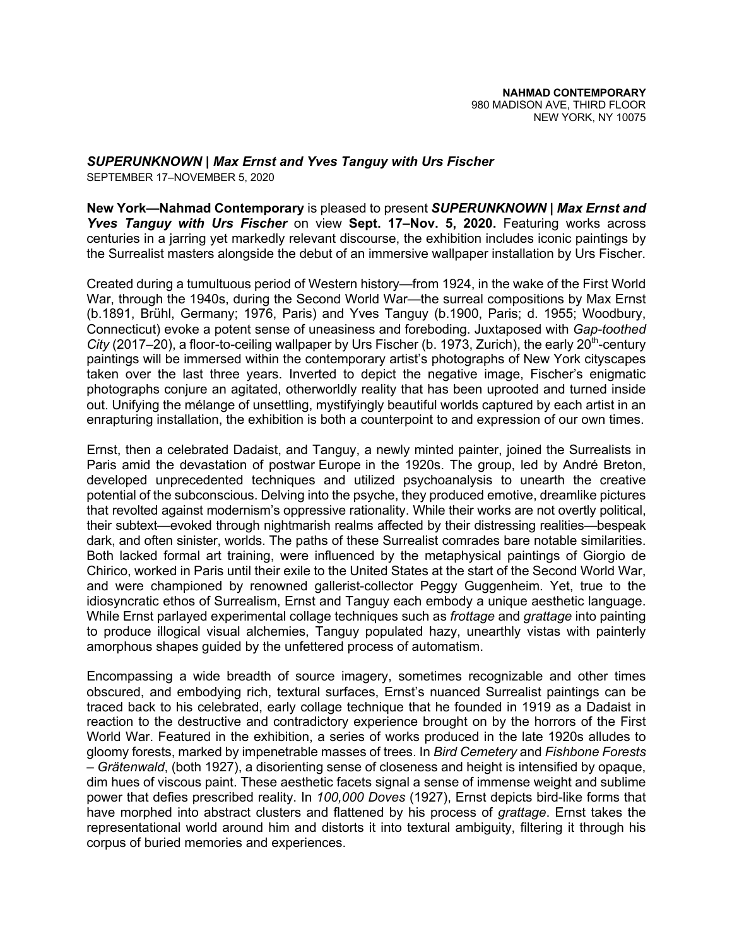*SUPERUNKNOWN | Max Ernst and Yves Tanguy with Urs Fischer*

SEPTEMBER 17–NOVEMBER 5, 2020

**New York—Nahmad Contemporary** is pleased to present *SUPERUNKNOWN | Max Ernst and Yves Tanguy with Urs Fischer* on view **Sept. 17–Nov. 5, 2020.** Featuring works across centuries in a jarring yet markedly relevant discourse, the exhibition includes iconic paintings by the Surrealist masters alongside the debut of an immersive wallpaper installation by Urs Fischer.

Created during a tumultuous period of Western history—from 1924, in the wake of the First World War, through the 1940s, during the Second World War—the surreal compositions by Max Ernst (b.1891, Brühl, Germany; 1976, Paris) and Yves Tanguy (b.1900, Paris; d. 1955; Woodbury, Connecticut) evoke a potent sense of uneasiness and foreboding. Juxtaposed with *Gap-toothed City* (2017–20), a floor-to-ceiling wallpaper by Urs Fischer (b. 1973, Zurich), the early 20<sup>th</sup>-century paintings will be immersed within the contemporary artist's photographs of New York cityscapes taken over the last three years. Inverted to depict the negative image, Fischer's enigmatic photographs conjure an agitated, otherworldly reality that has been uprooted and turned inside out. Unifying the mélange of unsettling, mystifyingly beautiful worlds captured by each artist in an enrapturing installation, the exhibition is both a counterpoint to and expression of our own times.

Ernst, then a celebrated Dadaist, and Tanguy, a newly minted painter, joined the Surrealists in Paris amid the devastation of postwar Europe in the 1920s. The group, led by André Breton, developed unprecedented techniques and utilized psychoanalysis to unearth the creative potential of the subconscious. Delving into the psyche, they produced emotive, dreamlike pictures that revolted against modernism's oppressive rationality. While their works are not overtly political, their subtext—evoked through nightmarish realms affected by their distressing realities—bespeak dark, and often sinister, worlds. The paths of these Surrealist comrades bare notable similarities. Both lacked formal art training, were influenced by the metaphysical paintings of Giorgio de Chirico, worked in Paris until their exile to the United States at the start of the Second World War, and were championed by renowned gallerist-collector Peggy Guggenheim. Yet, true to the idiosyncratic ethos of Surrealism, Ernst and Tanguy each embody a unique aesthetic language. While Ernst parlayed experimental collage techniques such as *frottage* and *grattage* into painting to produce illogical visual alchemies, Tanguy populated hazy, unearthly vistas with painterly amorphous shapes guided by the unfettered process of automatism.

Encompassing a wide breadth of source imagery, sometimes recognizable and other times obscured, and embodying rich, textural surfaces, Ernst's nuanced Surrealist paintings can be traced back to his celebrated, early collage technique that he founded in 1919 as a Dadaist in reaction to the destructive and contradictory experience brought on by the horrors of the First World War. Featured in the exhibition, a series of works produced in the late 1920s alludes to gloomy forests, marked by impenetrable masses of trees. In *Bird Cemetery* and *Fishbone Forests – Grätenwald*, (both 1927), a disorienting sense of closeness and height is intensified by opaque, dim hues of viscous paint. These aesthetic facets signal a sense of immense weight and sublime power that defies prescribed reality. In *100,000 Doves* (1927), Ernst depicts bird-like forms that have morphed into abstract clusters and flattened by his process of *grattage*. Ernst takes the representational world around him and distorts it into textural ambiguity, filtering it through his corpus of buried memories and experiences.